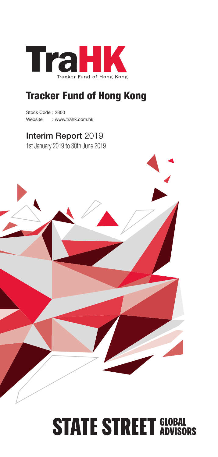

## Tracker Fund of Hong Kong

Stock Code : 2800 Website : www.trahk.com.hk

## Interim Report 2019

1st January 2019 to 30th June 2019



# **STATE STREET GLOBAL**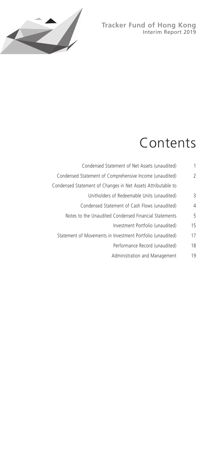## **Tracker Fund of Hong Kong** Interim Report 2019



# Contents

| 1  | Condensed Statement of Net Assets (unaudited)                |
|----|--------------------------------------------------------------|
| 2  | Condensed Statement of Comprehensive Income (unaudited)      |
|    | Condensed Statement of Changes in Net Assets Attributable to |
| 3  | Unitholders of Redeemable Units (unaudited)                  |
| 4  | Condensed Statement of Cash Flows (unaudited)                |
| 5  | Notes to the Unaudited Condensed Financial Statements        |
| 15 | Investment Portfolio (unaudited)                             |
| 17 | Statement of Movements in Investment Portfolio (unaudited)   |
| 18 | Performance Record (unaudited)                               |
| 19 | Administration and Management                                |
|    |                                                              |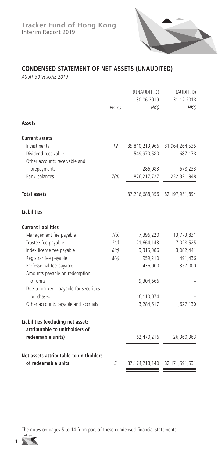

## **CONDENSED STATEMENT OF NET ASSETS (UNAUDITED)**

*AS AT 30TH JUNE 2019*

|                                           |              | (UNAUDITED)        | (AUDITED)                     |
|-------------------------------------------|--------------|--------------------|-------------------------------|
|                                           | <b>Notes</b> | 30.06.2019<br>HK\$ | 31.12.2018<br>HK\$            |
|                                           |              |                    |                               |
| Assets                                    |              |                    |                               |
| <b>Current assets</b>                     |              |                    |                               |
| Investments                               | 12           |                    | 85,810,213,966 81,964,264,535 |
| Dividend receivable                       |              | 549,970,580        | 687,178                       |
| Other accounts receivable and             |              |                    |                               |
| prepayments                               |              | 286,083            | 678,233                       |
| <b>Bank balances</b>                      | 7(d)         | 876,217,727        | 232,321,948                   |
| <b>Total assets</b>                       |              |                    | 87,236,688,356 82,197,951,894 |
| <b>Liabilities</b>                        |              |                    |                               |
| <b>Current liabilities</b>                |              |                    |                               |
| Management fee payable                    | 7(b)         | 7,396,220          | 13,773,831                    |
| Trustee fee payable                       | 7(c)         | 21,664,143         | 7,028,525                     |
| Index license fee payable                 | 8(c)         | 3,315,386          | 3,082,441                     |
| Registrar fee payable                     | 8(a)         | 959,210            | 491,436                       |
| Professional fee payable                  |              | 436,000            | 357,000                       |
| Amounts payable on redemption<br>of units |              |                    |                               |
| Due to broker – payable for securities    |              | 9,304,666          |                               |
| purchased                                 |              | 16,110,074         |                               |
| Other accounts payable and accruals       |              | 3,284,517          | 1,627,130                     |
|                                           |              |                    |                               |
| Liabilities (excluding net assets         |              |                    |                               |
| attributable to unitholders of            |              |                    |                               |
| redeemable units)                         |              | 62,470,216         | 26,360,363                    |
| Net assets attributable to unitholders    |              |                    |                               |
| of redeemable units                       | 5            | 87, 174, 218, 140  | 82,171,591,531                |

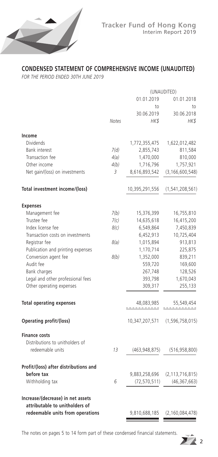

## **CONDENSED STATEMENT OF COMPREHENSIVE INCOME (UNAUDITED)**

*FOR THE PERIOD ENDED 30TH JUNE 2019*

|                                                                    | (UNAUDITED) |                 |                    |
|--------------------------------------------------------------------|-------------|-----------------|--------------------|
|                                                                    |             | 01.01.2019      | 01.01.2018         |
|                                                                    |             | to              | to                 |
|                                                                    |             | 30.06.2019      | 30.06.2018         |
|                                                                    | Notes       | HK\$            | HK\$               |
| Income                                                             |             |                 |                    |
| Dividends                                                          |             | 1,772,355,475   | 1,622,012,482      |
| <b>Bank interest</b>                                               | 7(d)        | 2,855,743       | 811,584            |
| Transaction fee                                                    | 4(a)        | 1,470,000       | 810,000            |
| Other income                                                       | 4(b)        | 1,716,796       | 1,757,921          |
| Net gain/(loss) on investments                                     | 3           | 8,616,893,542   | (3, 166, 600, 548) |
| Total investment income/(loss)                                     |             | 10,395,291,556  | (1, 541, 208, 561) |
| <b>Expenses</b>                                                    |             |                 |                    |
| Management fee                                                     | 7(b)        | 15,376,399      | 16,755,810         |
| Trustee fee                                                        | 7(c)        | 14,635,618      | 16,415,200         |
| Index license fee                                                  | 8(c)        | 6,549,864       | 7,450,839          |
| Transaction costs on investments                                   |             | 6,452,913       | 10,725,404         |
| Registrar fee                                                      | 8(a)        | 1,015,894       | 913,813            |
| Publication and printing expenses                                  |             | 1,170,714       | 225,875            |
| Conversion agent fee                                               | 8(b)        | 1,352,000       | 839,211            |
| Audit fee                                                          |             | 559,720         | 169,600            |
| Bank charges                                                       |             | 267,748         | 128,526            |
| Legal and other professional fees                                  |             | 393,798         | 1,670,043          |
| Other operating expenses                                           |             | 309,317         | 255,133            |
| <b>Total operating expenses</b>                                    |             | 48,083,985      | 55,549,454         |
| Operating profit/(loss)                                            |             | 10,347,207,571  | (1, 596, 758, 015) |
| <b>Finance costs</b>                                               |             |                 |                    |
| Distributions to unitholders of                                    |             |                 |                    |
| redeemable units                                                   | 13          | (463, 948, 875) | (516, 958, 800)    |
| Profit/(loss) after distributions and                              |             |                 |                    |
| before tax                                                         |             | 9,883,258,696   | (2, 113, 716, 815) |
| Withholding tax                                                    | 6           | (72, 570, 511)  | (46, 367, 663)     |
| Increase/(decrease) in net assets                                  |             |                 |                    |
| attributable to unitholders of<br>redeemable units from operations |             | 9,810,688,185   | (2, 160, 084, 478) |

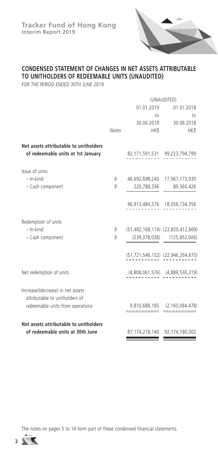

## **CONDENSED STATEMENT OF CHANGES IN NET ASSETS ATTRIBUTABLE TO UNITHOLDERS OF REDEEMABLE UNITS (UNAUDITED)**

*FOR THE PERIOD ENDED 30TH JUNE 2019*

|                                                                              |              | (UNAUDITED) |                                             |
|------------------------------------------------------------------------------|--------------|-------------|---------------------------------------------|
|                                                                              |              | 01.01.2019  | 01.01.2018                                  |
|                                                                              |              | to          | to                                          |
|                                                                              |              |             | 30.06.2019 30.06.2018                       |
|                                                                              | <b>Notes</b> | HK\$        | HK\$                                        |
| Net assets attributable to unitholders<br>of redeemable units at 1st January |              |             | 82,171,591,531 99,223,794,799               |
| Issue of units                                                               |              |             |                                             |
| $-$ In-kind                                                                  | 9            |             | 46,692,698,240 17,967,173,930               |
| - Cash component                                                             | 9            |             | 220,786,336 89,560,426                      |
|                                                                              |              |             | 46,913,484,576 18,056,734,356               |
| Redemption of units                                                          |              |             |                                             |
| $-$ In-kind                                                                  | 9            |             | (51,482,168,114) (22,820,412,669)           |
| - Cash component                                                             | 9            |             | $(239,378,038)$ $(125,852,006)$             |
|                                                                              |              |             | $(51, 721, 546, 152)$ $(22, 946, 264, 675)$ |
| Net redemption of units                                                      |              |             | $(4,808,061,576)$ $(4,889,530,319)$         |
| Increase/(decrease) in net assets<br>attributable to unitholders of          |              |             |                                             |
| redeemable units from operations                                             |              |             | $9,810,688,185$ $(2,160,084,478)$           |
| Net assets attributable to unitholders                                       |              |             |                                             |
| of redeemable units at 30th June                                             |              |             | 87,174,218,140 92,174,180,002               |

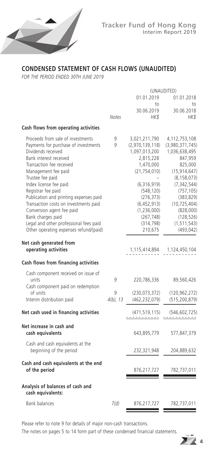

## **CONDENSED STATEMENT OF CASH FLOWS (UNAUDITED)**

*FOR THE PERIOD ENDED 30TH JUNE 2019*

|                                              | (UNAUDITED) |                 |                 |
|----------------------------------------------|-------------|-----------------|-----------------|
|                                              |             | 01.01.2019      | 01.01.2018      |
|                                              |             | to              | to              |
|                                              |             | 30.06.2019      | 30.06.2018      |
|                                              | Notes       | HKS             | HK\$            |
| Cash flows from operating activities         |             |                 |                 |
| Proceeds from sale of investments            | 9           | 3,021,211,790   | 4,112,753,108   |
| Payments for purchase of investments         | g           | (2,970,139,118) | (3,980,371,745) |
| Dividends received                           |             | 1,097,013,200   | 1,036,638,495   |
| Bank interest received                       |             | 2,815,228       | 847,959         |
| Transaction fee received                     |             | 1,470,000       | 825,000         |
| Management fee paid                          |             | (21, 754, 010)  | (15, 914, 647)  |
| Trustee fee paid                             |             |                 | (8, 158, 073)   |
| Index license fee paid                       |             | (6,316,919)     | (7, 342, 544)   |
| Registrar fee paid                           |             | (548, 120)      | (757, 105)      |
| Publication and printing expenses paid       |             | (276, 373)      | (383, 829)      |
| Transaction costs on investments paid        |             | (6, 452, 913)   | (10, 725, 404)  |
| Conversion agent fee paid                    |             | (1,236,000)     | (828,000)       |
| Bank charges paid                            |             | (267, 748)      | (128, 526)      |
| Legal and other professional fees paid       |             | (314, 798)      | (1, 511, 543)   |
| Other operating expenses refund/(paid)       |             | 210,675         | (493, 042)      |
| Net cash generated from                      |             |                 |                 |
| operating activities                         |             | 1,115,414,894   | 1,124,450,104   |
|                                              |             |                 |                 |
| Cash flows from financing activities         |             |                 |                 |
| Cash component received on issue of          |             |                 |                 |
| units                                        | 9           | 220,786,336     | 89,560,426      |
| Cash component paid on redemption            |             |                 |                 |
| of units                                     | 9           | (230, 073, 372) | (120, 962, 272) |
| Interim distribution paid                    | $4(b)$ , 13 | (462, 232, 079) | (515, 200, 879) |
| Net cash used in financing activities        |             | (471, 519, 115) | (546, 602, 725) |
|                                              |             |                 |                 |
| Net increase in cash and<br>cash equivalents |             |                 |                 |
|                                              |             | 643,895,779     | 577,847,379     |
| Cash and cash equivalents at the             |             |                 |                 |
| beginning of the period                      |             | 232,321,948     | 204,889,632     |
| Cash and cash equivalents at the end         |             |                 |                 |
| of the period                                |             | 876,217,727     | 782,737,011     |
| Analysis of balances of cash and             |             |                 |                 |
| cash equivalents:                            |             |                 |                 |
| <b>Bank balances</b>                         | 7(d)        | 876,217,727     | 782,737,011     |
|                                              |             |                 |                 |

Please refer to note 9 for details of major non-cash transactions.

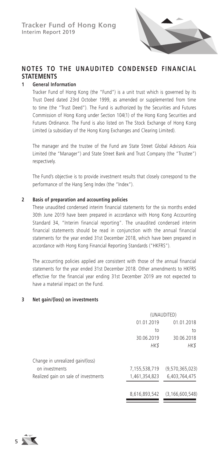

## **NOTES TO THE UNAUDITED CONDENSED FINANCIAL STATEMENTS**

#### **1 General Information**

Tracker Fund of Hong Kong (the "Fund") is a unit trust which is governed by its Trust Deed dated 23rd October 1999, as amended or supplemented from time to time (the "Trust Deed"). The Fund is authorized by the Securities and Futures Commission of Hong Kong under Section 104(1) of the Hong Kong Securities and Futures Ordinance. The Fund is also listed on The Stock Exchange of Hong Kong Limited (a subsidiary of the Hong Kong Exchanges and Clearing Limited).

The manager and the trustee of the Fund are State Street Global Advisors Asia Limited (the "Manager") and State Street Bank and Trust Company (the "Trustee") respectively.

The Fund's objective is to provide investment results that closely correspond to the performance of the Hang Seng Index (the "Index").

#### **2 Basis of preparation and accounting policies**

These unaudited condensed interim financial statements for the six months ended 30th June 2019 have been prepared in accordance with Hong Kong Accounting Standard 34, "Interim financial reporting". The unaudited condensed interim financial statements should be read in conjunction with the annual financial statements for the year ended 31st December 2018, which have been prepared in accordance with Hong Kong Financial Reporting Standards ("HKFRS").

The accounting policies applied are consistent with those of the annual financial statements for the year ended 31st December 2018. Other amendments to HKFRS effective for the financial year ending 31st December 2019 are not expected to have a material impact on the Fund.

#### **3 Net gain/(loss) on investments**

|                                      | (UNAUDITED)   |                    |  |
|--------------------------------------|---------------|--------------------|--|
|                                      | 01.01.2019    | 01.01.2018         |  |
|                                      | to            | to                 |  |
|                                      | 30.06.2019    | 30.06.2018         |  |
|                                      | HK\$          | HK\$               |  |
| Change in unrealized gain/(loss)     |               |                    |  |
| on investments                       | 7,155,538,719 | (9,570,365,023)    |  |
| Realized gain on sale of investments | 1,461,354,823 | 6,403,764,475      |  |
|                                      | 8,616,893,542 | (3, 166, 600, 548) |  |

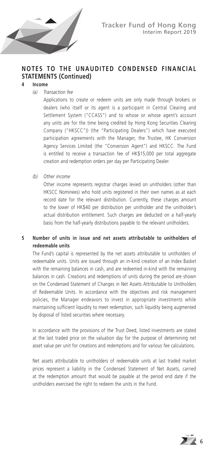

## **4 Income**

*(a) Transaction fee*

Applications to create or redeem units are only made through brokers or dealers (who itself or its agent is a participant in Central Clearing and Settlement System ("CCASS") and to whose or whose agent's account any units are for the time being credited by Hong Kong Securities Clearing Company ("HKSCC")) (the "Participating Dealers") which have executed participation agreements with the Manager, the Trustee, HK Conversion Agency Services Limited (the "Conversion Agent") and HKSCC. The Fund is entitled to receive a transaction fee of HK\$15,000 per total aggregate creation and redemption orders per day per Participating Dealer.

*(b) Other income*

Other income represents registrar charges levied on unitholders (other than HKSCC Nominees) who hold units registered in their own names as at each record date for the relevant distribution. Currently, these charges amount to the lower of HK\$40 per distribution per unitholder and the unitholder's actual distribution entitlement. Such charges are deducted on a half-yearly basis from the half-yearly distributions payable to the relevant unitholders.

## **5 Number of units in issue and net assets attributable to unitholders of redeemable units**

The Fund's capital is represented by the net assets attributable to unitholders of redeemable units. Units are issued through an in-kind creation of an Index Basket with the remaining balances in cash, and are redeemed in-kind with the remaining balances in cash. Creations and redemptions of units during the period are shown on the Condensed Statement of Changes in Net Assets Attributable to Unitholders of Redeemable Units. In accordance with the objectives and risk management policies, the Manager endeavors to invest in appropriate investments while maintaining sufficient liquidity to meet redemption, such liquidity being augmented by disposal of listed securities where necessary.

In accordance with the provisions of the Trust Deed, listed investments are stated at the last traded price on the valuation day for the purpose of determining net asset value per unit for creations and redemptions and for various fee calculations.

Net assets attributable to unitholders of redeemable units at last traded market prices represent a liability in the Condensed Statement of Net Assets, carried at the redemption amount that would be payable at the period end date if the unitholders exercised the right to redeem the units in the Fund.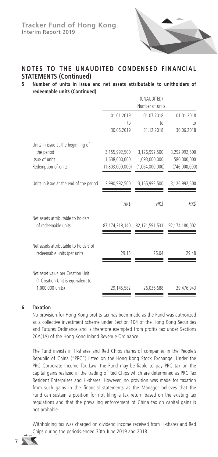

## **5 Number of units in issue and net assets attributable to unitholders of redeemable units (Continued)**

|                                                                                            |                                  | (UNAUDITED)<br>Number of units   |                               |
|--------------------------------------------------------------------------------------------|----------------------------------|----------------------------------|-------------------------------|
|                                                                                            | 01.01.2019                       | 01.07.2018                       | 01.01.2018                    |
|                                                                                            | 10 <sub>0</sub><br>30.06.2019    | 10 <sub>o</sub><br>31.12.2018    | 10 <sub>1</sub><br>30.06.2018 |
| Units in issue at the beginning of<br>the period                                           | 3,155,992,500                    | 3,126,992,500                    | 3,292,992,500                 |
| Issue of units<br>Redemption of units                                                      | 1,638,000,000<br>(1,803,000,000) | 1,093,000,000<br>(1,064,000,000) | 580,000,000<br>(746,000,000)  |
| Units in issue at the end of the period                                                    | 2,990,992,500                    | 3,155,992,500                    | 3,126,992,500                 |
|                                                                                            | HK\$                             | HK\$                             | HK\$                          |
| Net assets attributable to holders<br>of redeemable units                                  | 87,174,218,140                   | 82,171,591,531                   | 92,174,180,002                |
| Net assets attributable to holders of<br>redeemable units (per unit)                       | 29.15                            | 26.04                            | 29.48                         |
| Net asset value per Creation Unit<br>(1 Creation Unit is equivalent to<br>1,000,000 units) | 29,145,582                       | 26,036,688                       | 29,476,943                    |

## **6 Taxation**

No provision for Hong Kong profits tax has been made as the Fund was authorized as a collective investment scheme under Section 104 of the Hong Kong Securities and Futures Ordinance and is therefore exempted from profits tax under Sections 26A(1A) of the Hong Kong Inland Revenue Ordinance.

The Fund invests in H-shares and Red Chips shares of companies in the People's Republic of China ("PRC") listed on the Hong Kong Stock Exchange. Under the PRC Corporate Income Tax Law, the Fund may be liable to pay PRC tax on the capital gains realized in the trading of Red Chips which are determined as PRC Tax Resident Enterprises and H-shares. However, no provision was made for taxation from such gains in the financial statements as the Manager believes that the Fund can sustain a position for not filing a tax return based on the existing tax regulations and that the prevailing enforcement of China tax on capital gains is not probable.

Withholding tax was charged on dividend income received from H-shares and Red Chips during the periods ended 30th June 2019 and 2018.

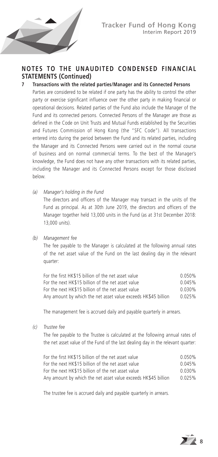

#### **7 Transactions with the related parties/Manager and its Connected Persons**

Parties are considered to be related if one party has the ability to control the other party or exercise significant influence over the other party in making financial or operational decisions. Related parties of the Fund also include the Manager of the Fund and its connected persons. Connected Persons of the Manager are those as defined in the Code on Unit Trusts and Mutual Funds established by the Securities and Futures Commission of Hong Kong (the "SFC Code"). All transactions entered into during the period between the Fund and its related parties, including the Manager and its Connected Persons were carried out in the normal course of business and on normal commercial terms. To the best of the Manager's knowledge, the Fund does not have any other transactions with its related parties, including the Manager and its Connected Persons except for those disclosed below.

*(a) Manager's holding in the Fund*

The directors and officers of the Manager may transact in the units of the Fund as principal. As at 30th June 2019, the directors and officers of the Manager together held 13,000 units in the Fund (as at 31st December 2018: 13,000 units).

#### *(b) Management fee*

The fee payable to the Manager is calculated at the following annual rates of the net asset value of the Fund on the last dealing day in the relevant quarter:

| For the first HK\$15 billion of the net asset value            | 0.050% |
|----------------------------------------------------------------|--------|
| For the next HK\$15 billion of the net asset value             | 0.045% |
| For the next HK\$15 billion of the net asset value             | 0.030% |
| Any amount by which the net asset value exceeds HK\$45 billion | 0.025% |

The management fee is accrued daily and payable quarterly in arrears.

*(c) Trustee fee*

The fee payable to the Trustee is calculated at the following annual rates of the net asset value of the Fund of the last dealing day in the relevant quarter:

| For the first HK\$15 billion of the net asset value            | 0.050% |
|----------------------------------------------------------------|--------|
| For the next HK\$15 billion of the net asset value             | 0.045% |
| For the next HK\$15 billion of the net asset value             | 0.030% |
| Any amount by which the net asset value exceeds HK\$45 billion | 0.025% |

The trustee fee is accrued daily and payable quarterly in arrears.

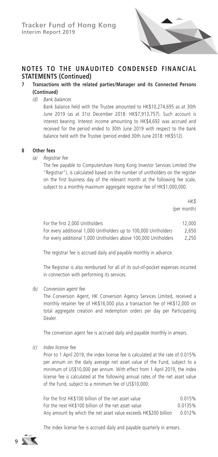

## **7 Transactions with the related parties/Manager and its Connected Persons (Continued)**

*(d) Bank balances*

Bank balance held with the Trustee amounted to HK\$10,274,695 as at 30th June 2019 (as at 31st December 2018: HK\$7,913,757). Such account is interest bearing. Interest income amounting to HK\$4,692 was accrued and received for the period ended to 30th June 2019 with respect to the bank balance held with the Trustee (period ended 30th June 2018: HK\$512).

#### **8 Other fees**

*(a) Registrar fee*

The fee payable to Computershare Hong Kong Investor Services Limited (the "Registrar"), is calculated based on the number of unitholders on the register on the first business day of the relevant month at the following fee scale, subject to a monthly maximum aggregate registrar fee of HK\$1,000,000.

> *HK\$* (per month)

| For the first 2,000 Unitholders                                  | 12,000 |
|------------------------------------------------------------------|--------|
| For every additional 1,000 Unitholders up to 100,000 Unitholders | 2.650  |
| For every additional 1,000 Unitholders above 100,000 Unitholders | 2.250  |

The registrar fee is accrued daily and payable monthly in advance.

The Registrar is also reimbursed for all of its out-of-pocket expenses incurred in connection with performing its services.

*(b) Conversion agent fee*

The Conversion Agent, HK Conversion Agency Services Limited, received a monthly retainer fee of HK\$16,000 plus a transaction fee of HK\$12,000 on total aggregate creation and redemption orders per day per Participating Dealer.

The conversion agent fee is accrued daily and payable monthly in arrears.

*(c) Index license fee*

Prior to 1 April 2019, the index license fee is calculated at the rate of 0.015% per annum on the daily average net asset value of the Fund, subject to a minimum of US\$10,000 per annum. With effect from 1 April 2019, the index license fee is calculated at the following annual rates of the net asset value of the Fund, subject to a minimum fee of US\$10,000:

| For the first HK\$100 billion of the net asset value            | 0.015%  |
|-----------------------------------------------------------------|---------|
| For the next HK\$100 billion of the net asset value             | 0.0135% |
| Any amount by which the net asset value exceeds HK\$200 billion | 0.012%  |

The index license fee is accrued daily and payable quarterly in arrears.

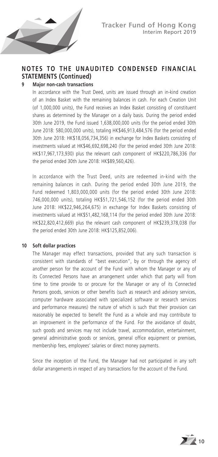

#### **9 Major non-cash transactions**

In accordance with the Trust Deed, units are issued through an in-kind creation of an Index Basket with the remaining balances in cash. For each Creation Unit (of 1,000,000 units), the Fund receives an Index Basket consisting of constituent shares as determined by the Manager on a daily basis. During the period ended 30th June 2019, the Fund issued 1,638,000,000 units (for the period ended 30th June 2018: 580,000,000 units), totaling HK\$46,913,484,576 (for the period ended 30th June 2018: HK\$18,056,734,356) in exchange for Index Baskets consisting of investments valued at HK\$46,692,698,240 (for the period ended 30th June 2018: HK\$17,967,173,930) plus the relevant cash component of HK\$220,786,336 (for the period ended 30th June 2018: HK\$89,560,426).

In accordance with the Trust Deed, units are redeemed in-kind with the remaining balances in cash. During the period ended 30th June 2019, the Fund redeemed 1,803,000,000 units (for the period ended 30th June 2018: 746,000,000 units), totaling HK\$51,721,546,152 (for the period ended 30th June 2018: HK\$22,946,264,675) in exchange for Index Baskets consisting of investments valued at HK\$51,482,168,114 (for the period ended 30th June 2018: HK\$22,820,412,669) plus the relevant cash component of HK\$239,378,038 (for the period ended 30th June 2018: HK\$125,852,006).

#### **10 Soft dollar practices**

The Manager may effect transactions, provided that any such transaction is consistent with standards of "best execution", by or through the agency of another person for the account of the Fund with whom the Manager or any of its Connected Persons have an arrangement under which that party will from time to time provide to or procure for the Manager or any of its Connected Persons goods, services or other benefits (such as research and advisory services, computer hardware associated with specialized software or research services and performance measures) the nature of which is such that their provision can reasonably be expected to benefit the Fund as a whole and may contribute to an improvement in the performance of the Fund. For the avoidance of doubt, such goods and services may not include travel, accommodation, entertainment, general administrative goods or services, general office equipment or premises, membership fees, employees' salaries or direct money payments.

Since the inception of the Fund, the Manager had not participated in any soft dollar arrangements in respect of any transactions for the account of the Fund.

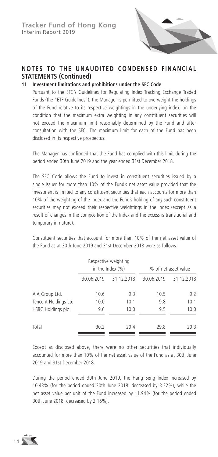

## **11 Investment limitations and prohibitions under the SFC Code**

Pursuant to the SFC's Guidelines for Regulating Index Tracking Exchange Traded Funds (the "ETF Guidelines"), the Manager is permitted to overweight the holdings of the Fund relative to its respective weightings in the underlying index, on the condition that the maximum extra weighting in any constituent securities will not exceed the maximum limit reasonably determined by the Fund and after consultation with the SFC. The maximum limit for each of the Fund has been disclosed in its respective prospectus.

The Manager has confirmed that the Fund has complied with this limit during the period ended 30th June 2019 and the year ended 31st December 2018.

The SFC Code allows the Fund to invest in constituent securities issued by a single issuer for more than 10% of the Fund's net asset value provided that the investment is limited to any constituent securities that each accounts for more than 10% of the weighting of the Index and the Fund's holding of any such constituent securities may not exceed their respective weightings in the Index (except as a result of changes in the composition of the Index and the excess is transitional and temporary in nature).

Constituent securities that account for more than 10% of the net asset value of the Fund as at 30th June 2019 and 31st December 2018 were as follows:

|                          |            | Respective weighting<br>in the Index $(\%)$ |            | % of net asset value |
|--------------------------|------------|---------------------------------------------|------------|----------------------|
|                          | 30.06.2019 | 31.12.2018                                  | 30.06.2019 | 31.12.2018           |
| AIA Group Ltd.           | 10.6       | 9.3                                         | 10.5       | 9.2                  |
| Tencent Holdings Ltd     | 10.0       | 10.1                                        | 9.8        | 10.1                 |
| <b>HSBC Holdings plc</b> | 9.6        | 10.0                                        | 9.5        | 10.0                 |
| Total                    | 30.2       | 29.4                                        | 29.8       | 29.3                 |

Except as disclosed above, there were no other securities that individually accounted for more than 10% of the net asset value of the Fund as at 30th June 2019 and 31st December 2018.

During the period ended 30th June 2019, the Hang Seng Index increased by 10.43% (for the period ended 30th June 2018: decreased by 3.22%), while the net asset value per unit of the Fund increased by 11.94% (for the period ended 30th June 2018: decreased by 2.16%).

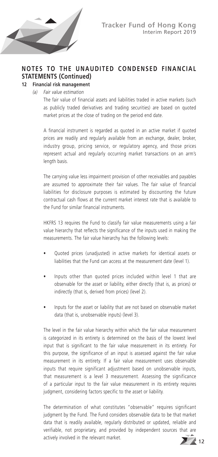

## **NOTES TO THE UNAUDITED CONDENSED FINANCIAL STATEMENTS (Continued) 12 Financial risk management**

*(a) Fair value estimation*

The fair value of financial assets and liabilities traded in active markets (such as publicly traded derivatives and trading securities) are based on quoted market prices at the close of trading on the period end date.

A financial instrument is regarded as quoted in an active market if quoted prices are readily and regularly available from an exchange, dealer, broker, industry group, pricing service, or regulatory agency, and those prices represent actual and regularly occurring market transactions on an arm's length basis.

The carrying value less impairment provision of other receivables and payables are assumed to approximate their fair values. The fair value of financial liabilities for disclosure purposes is estimated by discounting the future contractual cash flows at the current market interest rate that is available to the Fund for similar financial instruments.

HKFRS 13 requires the Fund to classify fair value measurements using a fair value hierarchy that reflects the significance of the inputs used in making the measurements. The fair value hierarchy has the following levels:

- Quoted prices (unadjusted) in active markets for identical assets or liabilities that the Fund can access at the measurement date (level 1).
- Inputs other than quoted prices included within level 1 that are observable for the asset or liability, either directly (that is, as prices) or indirectly (that is, derived from prices) (level 2).
- Inputs for the asset or liability that are not based on observable market data (that is, unobservable inputs) (level 3).

The level in the fair value hierarchy within which the fair value measurement is categorized in its entirety is determined on the basis of the lowest level input that is significant to the fair value measurement in its entirety. For this purpose, the significance of an input is assessed against the fair value measurement in its entirety. If a fair value measurement uses observable inputs that require significant adjustment based on unobservable inputs, that measurement is a level 3 measurement. Assessing the significance of a particular input to the fair value measurement in its entirety requires judgment, considering factors specific to the asset or liability.

The determination of what constitutes "observable" requires significant judgment by the Fund. The Fund considers observable data to be that market data that is readily available, regularly distributed or updated, reliable and verifiable, not proprietary, and provided by independent sources that are actively involved in the relevant market.

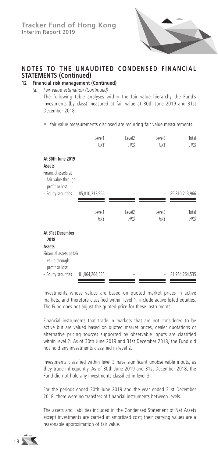

## **NOTES TO THE UNAUDITED CONDENSED FINANCIAL STATEMENTS (Continued)**<br>12 Financial risk management (

#### **12 Financial risk management (Continued)**

#### *(a) Fair value estimation (Continued)*

The following table analyses within the fair value hierarchy the Fund's investments (by class) measured at fair value at 30th June 2019 and 31st December 2018.

All fair value measurements disclosed are recurring fair value measurements.

|                                                                                             | Level1<br>HK\$        | Level <sub>2</sub><br>HK\$ | Level3<br>HK\$ | Total<br><b>HK\$</b> |
|---------------------------------------------------------------------------------------------|-----------------------|----------------------------|----------------|----------------------|
| At 30th June 2019<br>Assets<br>Financial assets at<br>fair value through<br>profit or loss: |                       |                            |                |                      |
| - Equity securities                                                                         | 85,810,213,966        |                            |                | 85,810,213,966       |
|                                                                                             | Level1<br><b>HK\$</b> | Level <sub>2</sub><br>HK\$ | Level3<br>HK\$ | Total<br><b>HK\$</b> |
| At 31st December<br>2018                                                                    |                       |                            |                |                      |
| Assets                                                                                      |                       |                            |                |                      |
| Financial assets at fair<br>value through<br>profit or loss:                                |                       |                            |                |                      |
| - Equity securities                                                                         | 81,964,264,535        |                            |                | 81,964,264,535       |

Investments whose values are based on quoted market prices in active markets, and therefore classified within level 1, include active listed equities. The Fund does not adjust the quoted price for these instruments.

Financial instruments that trade in markets that are not considered to be active but are valued based on quoted market prices, dealer quotations or alternative pricing sources supported by observable inputs are classified within level 2. As of 30th June 2019 and 31st December 2018, the Fund did not hold any investments classified in level 2.

Investments classified within level 3 have significant unobservable inputs, as they trade infrequently. As of 30th June 2019 and 31st December 2018, the Fund did not hold any investments classified in level 3.

For the periods ended 30th June 2019 and the year ended 31st December 2018, there were no transfers of financial instruments between levels.

The assets and liabilities included in the Condensed Statement of Net Assets except investments are carried at amortized cost; their carrying values are a reasonable approximation of fair value.

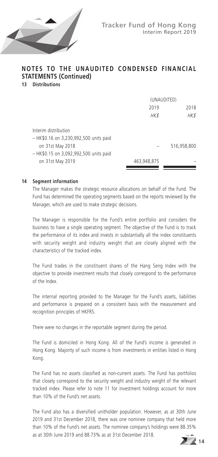

**13 Distributions**

|                                                                                                                              | (UNAUDITED) |             |  |
|------------------------------------------------------------------------------------------------------------------------------|-------------|-------------|--|
|                                                                                                                              | 2019        | 2018        |  |
|                                                                                                                              | <b>HK\$</b> | HK\$        |  |
| Interim distribution<br>- HK\$0.16 on 3,230,992,500 units paid<br>on 31st May 2018<br>- HK\$0.15 on 3,092,992,500 units paid |             | 516,958,800 |  |
| on 31st May 2019                                                                                                             | 463,948,875 |             |  |

#### **14 Segment information**

The Manager makes the strategic resource allocations on behalf of the Fund. The Fund has determined the operating segments based on the reports reviewed by the Manager, which are used to make strategic decisions.

The Manager is responsible for the Fund's entire portfolio and considers the business to have a single operating segment. The objective of the Fund is to track the performance of its index and invests in substantially all the index constituents with security weight and industry weight that are closely aligned with the characteristics of the tracked index.

The Fund trades in the constituent shares of the Hang Seng Index with the objective to provide investment results that closely correspond to the performance of the Index.

The internal reporting provided to the Manager for the Fund's assets, liabilities and performance is prepared on a consistent basis with the measurement and recognition principles of HKFRS.

There were no changes in the reportable segment during the period.

The Fund is domiciled in Hong Kong. All of the Fund's income is generated in Hong Kong. Majority of such income is from investments in entities listed in Hong Kong.

The Fund has no assets classified as non-current assets. The Fund has portfolios that closely correspond to the security weight and industry weight of the relevant tracked index. Please refer to note 11 for investment holdings account for more than 10% of the Fund's net assets.

The Fund also has a diversified unitholder population. However, as at 30th June 2019 and 31st December 2018, there was one nominee company that held more than 10% of the Fund's net assets. The nominee company's holdings were 88.35% as at 30th June 2019 and 88.73% as at 31st December 2018.

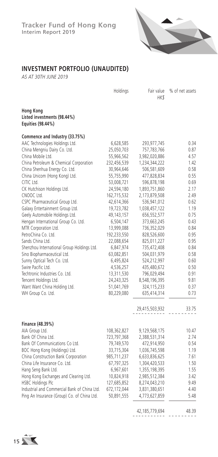

## **INVESTMENT PORTFOLIO (UNAUDITED)**

*AS AT 30TH JUNE 2019*

|                                                               | Holdings     | Fair value<br>HK\$ | % of net assets |
|---------------------------------------------------------------|--------------|--------------------|-----------------|
| Hong Kong<br>Listed investments (98.44%)<br>Equities (98.44%) |              |                    |                 |
| Commence and Industry (33.75%)                                |              |                    |                 |
| AAC Technologies Holdings Ltd.                                | 6,628,585    | 293,977,745        | 0.34            |
| China Mengniu Dairy Co. Ltd.                                  | 25,050,703   | 757,783,766        | 0.87            |
| China Mobile Ltd.                                             | 55,966,562   | 3,982,020,886      | 4.57            |
| China Petroleum & Chemical Corporation                        | 232,456,539  | 1,234,344,222      | 1.42            |
| China Shenhua Energy Co. Ltd.                                 | 30,964,646   | 506,581,609        | 0.58            |
| China Unicom (Hong Kong) Ltd.                                 | 55,755,990   | 477,828,834        | 0.55            |
| CITIC Ltd.                                                    | 53,008,721   | 596,878,198        | 0.69            |
| CK Hutchison Holdings Ltd.                                    | 24,594,180   | 1,893,751,860      | 2.17            |
| CNOOC Ltd.                                                    | 162,715,532  | 2,173,879,508      | 2.49            |
| CSPC Pharmaceutical Group Ltd.                                | 42,614,366   | 536,941,012        | 0.62            |
| Galaxy Entertainment Group Ltd.                               | 19,723,782   | 1,038,457,122      | 1.19            |
| Geely Automobile Holdings Ltd.                                | 49, 143, 157 | 656,552,577        | 0.75            |
| Hengan International Group Co. Ltd.                           | 6,504,147    | 373,663,245        | 0.43            |
| MTR Corporation Ltd.                                          | 13,999,088   | 736,352,029        | 0.84            |
| PetroChina Co. Ltd.                                           | 192,233,550  | 828,526,600        | 0.95            |
| Sands China Ltd.                                              | 22,088,654   | 825,011,227        | 0.95            |
| Shenzhou International Group Holdings Ltd.                    | 6,847,974    | 735,472,408        | 0.84            |
| Sino Biopharmaceutical Ltd.                                   | 63,082,851   | 504,031,979        | 0.58            |
| Sunny Optical Tech Co. Ltd.                                   | 6,495,824    | 524,212,997        | 0.60            |
| Swire Pacific Ltd.                                            | 4,536,257    | 435,480,672        | 0.50            |
| Techtronic Industries Co. Ltd.                                | 13,311,530   | 796,029,494        | 0.91            |
| Tencent Holdings Ltd.                                         | 24,243,325   | 8,548,196,395      | 9.81            |
| Want Want China Holding Ltd.                                  | 51,041,769   | 324,115,233        | 0.37            |
| WH Group Co. Ltd.                                             | 80,229,080   | 635,414,314        | 0.73            |
|                                                               |              | 29,415,503,932     | 33.75           |
| Finance (48.39%)                                              |              |                    |                 |
| AIA Group Ltd.                                                | 108,362,827  | 9,129,568,175      | 10.47           |
| Bank Of China Ltd.                                            | 723,797,368  | 2,388,531,314      | 2.74            |
| Bank Of Communications Co Ltd.                                | 79,749,570   | 472,914,950        | 0.54            |
| BOC Hong Kong (Holdings) Ltd.                                 | 33,715,304   | 1,036,745,598      | 1.19            |
| China Construction Bank Corporation                           | 985,711,237  | 6,633,836,625      | 7.61            |
| China Life Insurance Co. Ltd.                                 | 67,797,325   | 1,304,420,533      | 1.50            |
| Hang Seng Bank Ltd.                                           | 6,967,601    | 1,355,198,395      | 1.55            |
| Hong Kong Exchanges and Clearing Ltd.                         | 10,824,918   | 2,985,512,384      | 3.42            |
| <b>HSBC Holdings Plc</b>                                      | 127,685,852  | 8,274,043,210      | 9.49            |
| Industrial and Commercial Bank of China Ltd.                  | 672,172,044  | 3,831,380,651      | 4.40            |
| Ping An Insurance (Group) Co. of China Ltd.                   | 50,891,555   | 4,773,627,859      | 5.48            |
|                                                               |              | 105.770            | 10.20           |

42,185,779,694 48.39

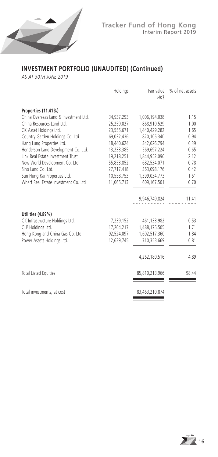

## **INVESTMENT PORTFOLIO (UNAUDITED) (Continued)**

*AS AT 30TH JUNE 2019*

|                                                      | Holdings                | HK\$           | Fair value % of net assets |
|------------------------------------------------------|-------------------------|----------------|----------------------------|
| Properties (11.41%)                                  |                         |                |                            |
| China Overseas Land & Investment Ltd.                | 34,937,293              | 1,006,194,038  | 1.15                       |
| China Resources Land Ltd.                            | 25,259,027              | 868,910,529    | 1.00                       |
| CK Asset Holdings Ltd.                               | 23,555,671              | 1,440,429,282  | 1.65                       |
| Country Garden Holdings Co. Ltd.                     | 69,032,436              | 820,105,340    | 0.94                       |
| Hang Lung Properties Ltd.                            | 18,440,624              | 342,626,794    | 0.39                       |
| Henderson Land Development Co. Ltd.                  | 13,233,385              | 569,697,224    | 0.65                       |
| Link Real Estate Investment Trust                    | 19,218,251              | 1,844,952,096  | 2.12                       |
| New World Development Co. Ltd.                       | 55,853,852              | 682,534,071    | 0.78                       |
| Sino Land Co. Ltd.                                   | 27,717,418              | 363,098,176    | 0.42                       |
| Sun Hung Kai Properties Ltd.                         | 10,558,753              | 1,399,034,773  | 1.61                       |
| Wharf Real Estate Investment Co. Ltd.                | 11,065,713              | 609,167,501    | 0.70                       |
|                                                      |                         | 9,946,749,824  | 11.41                      |
|                                                      |                         |                |                            |
| Utilities (4.89%)<br>CK Infrastructure Holdings Ltd. |                         | 461,133,982    | 0.53                       |
| CLP Holdings Ltd.                                    | 7,239,152<br>17,264,217 | 1,488,175,505  | 1.71                       |
| Hong Kong and China Gas Co. Ltd.                     | 92,524,097              | 1,602,517,360  | 1.84                       |
| Power Assets Holdings Ltd.                           | 12.639.745              | 710,353,669    | 0.81                       |
|                                                      |                         |                |                            |
|                                                      |                         | 4,262,180,516  | 4.89                       |
|                                                      |                         |                |                            |
| <b>Total Listed Equities</b>                         |                         | 85,810,213,966 | 98.44                      |
|                                                      |                         |                |                            |
| Total investments, at cost                           |                         | 83,463,210,874 |                            |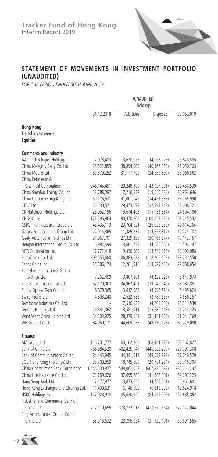

## **STATEMENT OF MOVEMENTS IN INVESTMENT PORTFOLIO (UNAUDITED)**

*FOR THE PERIOD ENDED 30TH JUNE 2019*

|                                       | (UNAUDITED)<br>Holdings |             |                 |             |
|---------------------------------------|-------------------------|-------------|-----------------|-------------|
|                                       | 31.12.2018              | Additions   | Disposals       | 30.06.2019  |
| Hong Kong                             |                         |             |                 |             |
| <b>Listed investments</b>             |                         |             |                 |             |
| <b>Equities</b>                       |                         |             |                 |             |
| Commerce and Industry                 |                         |             |                 |             |
| AAC Technologies Holdings Ltd.        | 7,073,483               | 3,678,025   | (4, 122, 923)   | 6,628,585   |
| China Mengniu Dairy Co. Ltd.          | 26,522,853              | 38,894,903  | (40, 367, 053)  | 25,050,703  |
| China Mobile Ltd.                     | 59,379,252              | 31,117,709  | (34, 530, 399)  | 55,966,562  |
| China Petroleum &                     |                         |             |                 |             |
| Chemical Corporation                  | 246, 145, 451           | 129,248,389 | (142,937,301)   | 232,456,539 |
| China Shenhua Energy Co. Ltd.         | 32,788,397              | 17,216,537  | (19,040,288)    | 30,964,646  |
| China Unicom (Hong Kong) Ltd.         | 59,176,631              | 31,001,042  | (34, 421, 683)  | 55,755,990  |
| CITIC Ltd.                            | 56,130,571              | 29,473,093  | (32, 594, 943)  | 53,008,721  |
| CK Hutchison Holdings Ltd.            | 26,052,156              | 13,674,408  | (15, 132, 384)  | 24,594,180  |
| CNOOC Ltd.                            | 172,296,964             | 90,470,863  | (100, 052, 295) | 162,715,532 |
| CSPC Pharmaceutical Group Ltd.        | 45,435,113              | 23,704,621  | (26, 525, 368)  | 42,614,366  |
| Galaxy Entertainment Group Ltd.       | 22,914,365              | 11,485,234  | (14, 675, 817)  | 19,723,782  |
| Geely Automobile Holdings Ltd.        | 51,967,701              | 27,339,333  | (30, 163, 877)  | 49,143,157  |
| Hengan International Group Co. Ltd.   | 6,982,499               | 3,601,734   | (4,080,086)     | 6,504,147   |
| MTR Corporation Ltd.                  | 17,772,418              | 9,456,585   | (13, 229, 915)  | 13,999,088  |
| PetroChina Co. Ltd.                   | 203,555,680             | 106,883,028 | (118, 205, 158) | 192,233,550 |
| Sands China Ltd.                      | 23,386,174              | 12,281,916  | (13, 579, 436)  | 22,088,654  |
| Shenzhou International Group          |                         |             |                 |             |
| Holdings Ltd.                         | 7,262,499               | 3,807,801   | (4,222,326)     | 6,847,974   |
| Sino Biopharmaceutical Ltd.           | 67,170,000              | 34,962,491  | (39,049,640)    | 63,082,851  |
| Sunny Optical Tech Co. Ltd.           | 6,879,365               | 3,612,083   | (3,995,624)     | 6,495,824   |
| Swire Pacific Ltd.                    | 4,803,240               | 2,522,682   | (2,789,665)     | 4,536,257   |
| Techtronic Industries Co. Ltd.        |                         | 17,516,136  | (4,204,606)     | 13,311,530  |
| Tencent Holdings Ltd.                 | 26,341,862              | 13,581,911  | (15,680,448)    | 24,243,325  |
| Want Want China Holding Ltd.          | 54,103,925              | 28,379,149  | (31, 441, 305)  | 51,041,769  |
| WH Group Co. Ltd.                     | 84,950,171              | 44,609,032  | (49, 330, 123)  | 80,229,080  |
| <b>Finance</b>                        |                         |             |                 |             |
| AIA Group Ltd.                        | 116,701,777             | 60,102,263  | (68, 441, 213)  | 108,362,827 |
| Bank of China Ltd.                    | 766,884,520             | 402,435,147 | (445, 522, 299) | 723,797,368 |
| Bank of Communications Co Ltd.        | 84,445,945              | 44,341,617  | (49, 037, 992)  | 79,749,570  |
| BOC Hong Kong (Holdings) Ltd.         | 35,700,959              | 18,745,609  | (20, 731, 264)  | 33,715,304  |
| China Construction Bank Corporation   | 1,045,530,877           | 548,061,057 | (607, 880, 697) | 985,711,237 |
| China Life Insurance Co. Ltd.         | 71,789,626              | 37,695,780  | (41,688,081)    | 67,797,325  |
| Hang Seng Bank Ltd.                   | 7,377,977               | 3,873,655   | (4, 284, 031)   | 6,967,601   |
| Hong Kong Exchanges and Clearing Ltd. | 11,490,621              | 6,146,690   | (6, 812, 393)   | 10,824,918  |
| HSBC Holdings Plc                     | 127,028,918             | 85,620,940  | (84,964,006)    | 127,685,852 |
| Industrial and Commercial Bank of     |                         |             |                 |             |
| China Ltd.                            | 712,110,595             | 373,732,013 | (413, 670, 564) | 672,172,044 |
| Ping An Insurance (Group) Co. of      |                         |             |                 |             |
| China Ltd.                            | 53,915,632              | 28,296,024  | (31, 320, 101)  | 50,891,555  |

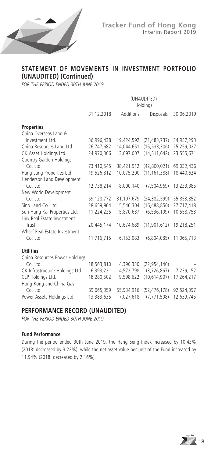

## **STATEMENT OF MOVEMENTS IN INVESTMENT PORTFOLIO (UNAUDITED) (Continued)**

*FOR THE PERIOD ENDED 30TH JUNE 2019*

|                                 | (UNAUDITED)<br>Holdings |            |                  |            |
|---------------------------------|-------------------------|------------|------------------|------------|
|                                 | 31.12.2018              | Additions  | <b>Disposals</b> | 30.06.2019 |
| <b>Properties</b>               |                         |            |                  |            |
| China Overseas Land &           |                         |            |                  |            |
| Investment Ltd.                 | 36,996,438              | 19,424,592 | (21, 483, 737)   | 34,937,293 |
| China Resources Land Ltd.       | 26,747,682              | 14,044,651 | (15, 533, 306)   | 25,259,027 |
| CK Asset Holdings Ltd.          | 24,970,306              | 13,097,007 | (14, 511, 642)   | 23,555,671 |
| Country Garden Holdings         |                         |            |                  |            |
| Co. Ltd.                        | 73,410,545              | 38,421,912 | (42,800,021)     | 69,032,436 |
| Hang Lung Properties Ltd.       | 19,526,812              | 10,075,200 | (11, 161, 388)   | 18,440,624 |
| Henderson Land Development      |                         |            |                  |            |
| $Co.$ Ltd.                      | 12,738,214              | 8,000,140  | (7, 504, 969)    | 13,233,385 |
| New World Development           |                         |            |                  |            |
| Co. Ltd.                        | 59,128,772              | 31,107,679 | (34, 382, 599)   | 55,853,852 |
| Sino Land Co. Ltd.              | 28,659,964              | 15,546,304 | (16, 488, 850)   | 27,717,418 |
| Sun Hung Kai Properties Ltd.    | 11,224,225              | 5,870,637  | (6, 536, 109)    | 10,558,753 |
| Link Real Estate Investment     |                         |            |                  |            |
| Trust                           | 20,445,174              | 10,674,689 | (11, 901, 612)   | 19,218,251 |
| Wharf Real Estate Investment    |                         |            |                  |            |
| Co. Ltd                         | 11,716,715              | 6,153,083  | (6,804,085)      | 11,065,713 |
| <b>Utilities</b>                |                         |            |                  |            |
| China Resources Power Holdings  |                         |            |                  |            |
| Co. Ltd.                        | 18,563,810              | 4,390,330  | (22, 954, 140)   |            |
| CK Infrastructure Holdings Ltd. | 6,393,221               | 4,572,798  | (3,726,867)      | 7,239,152  |
| CLP Holdings Ltd.               | 18,280,502              | 9,598,622  | (10,614,907)     | 17,264,217 |
| Hong Kong and China Gas         |                         |            |                  |            |
| Co. Ltd.                        | 89,065,359              | 55,934,916 | (52, 476, 178)   | 92,524,097 |
| Power Assets Holdings Ltd.      | 13,383,635              | 7,027,618  | (7, 771, 508)    | 12,639,745 |

## **PERFORMANCE RECORD (UNAUDITED)**

*FOR THE PERIOD ENDED 30TH JUNE 2019*

#### **Fund Performance**

During the period ended 30th June 2019, the Hang Seng Index increased by 10.43% (2018: decreased by 3.22%), while the net asset value per unit of the Fund increased by 11.94% (2018: decreased by 2.16%).